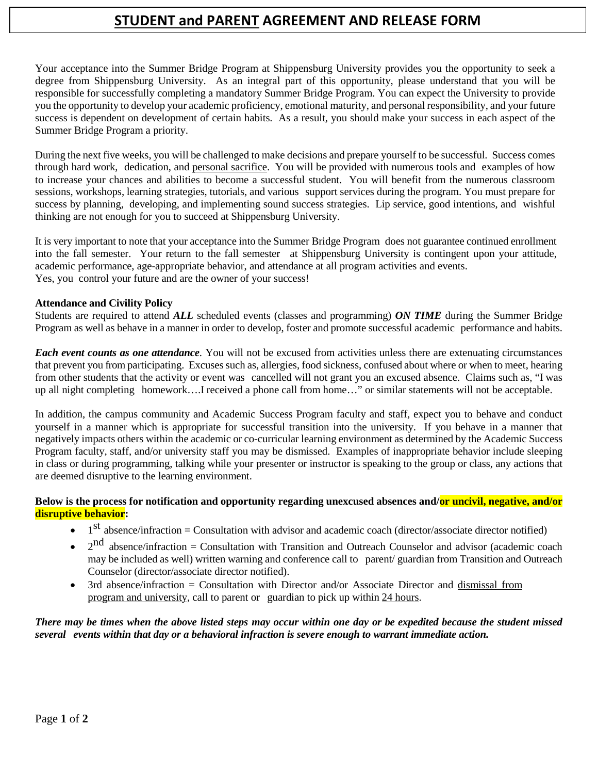# **STUDENT and PARENT AGREEMENT AND RELEASE FORM**

Your acceptance into the Summer Bridge Program at Shippensburg University provides you the opportunity to seek a degree from Shippensburg University. As an integral part of this opportunity, please understand that you will be responsible for successfully completing a mandatory Summer Bridge Program. You can expect the University to provide you the opportunity to develop your academic proficiency, emotional maturity, and personal responsibility, and your future success is dependent on development of certain habits. As a result, you should make your success in each aspect of the Summer Bridge Program a priority.

During the next five weeks, you will be challenged to make decisions and prepare yourself to be successful. Success comes through hard work, dedication, and personal sacrifice. You will be provided with numerous tools and examples of how to increase your chances and abilities to become a successful student. You will benefit from the numerous classroom sessions, workshops, learning strategies, tutorials, and various support services during the program. You must prepare for success by planning, developing, and implementing sound success strategies. Lip service, good intentions, and wishful thinking are not enough for you to succeed at Shippensburg University.

It is very important to note that your acceptance into the Summer Bridge Program does not guarantee continued enrollment into the fall semester. Your return to the fall semester at Shippensburg University is contingent upon your attitude, academic performance, age-appropriate behavior, and attendance at all program activities and events. Yes, you control your future and are the owner of your success!

### **Attendance and Civility Policy**

Students are required to attend *ALL* scheduled events (classes and programming) *ON TIME* during the Summer Bridge Program as well as behave in a manner in order to develop, foster and promote successful academic performance and habits.

*Each event counts as one attendance.* You will not be excused from activities unless there are extenuating circumstances that prevent you from participating. Excuses such as, allergies, food sickness, confused about where or when to meet, hearing from other students that the activity or event was cancelled will not grant you an excused absence. Claims such as, "I was up all night completing homework….I received a phone call from home…" or similar statements will not be acceptable.

In addition, the campus community and Academic Success Program faculty and staff, expect you to behave and conduct yourself in a manner which is appropriate for successful transition into the university. If you behave in a manner that negatively impacts others within the academic or co-curricular learning environment as determined by the Academic Success Program faculty, staff, and/or university staff you may be dismissed. Examples of inappropriate behavior include sleeping in class or during programming, talking while your presenter or instructor is speaking to the group or class, any actions that are deemed disruptive to the learning environment.

### **Below is the process for notification and opportunity regarding unexcused absences and/or uncivil, negative, and/or disruptive behavior:**

- $\bullet$  1<sup>st</sup> absence/infraction = Consultation with advisor and academic coach (director/associate director notified)
- $2<sup>nd</sup>$  absence/infraction = Consultation with Transition and Outreach Counselor and advisor (academic coach may be included as well) written warning and conference call to parent/ guardian from Transition and Outreach Counselor (director/associate director notified).
- 3rd absence/infraction = Consultation with Director and/or Associate Director and dismissal from program and university, call to parent or guardian to pick up within 24 hours.

*There may be times when the above listed steps may occur within one day or be expedited because the student missed several events within that day or a behavioral infraction is severe enough to warrant immediate action.*